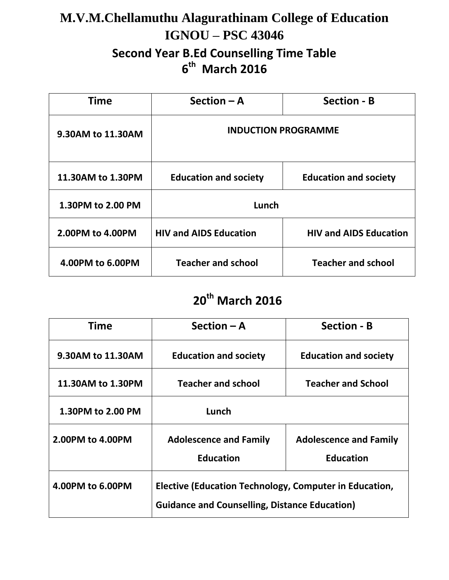### **M.V.M.Chellamuthu Alagurathinam College of Education IGNOU – PSC 43046 Second Year B.Ed Counselling Time Table 6 th March 2016**

| <b>Time</b>       | Section $-$ A                 | <b>Section - B</b>            |
|-------------------|-------------------------------|-------------------------------|
| 9.30AM to 11.30AM | <b>INDUCTION PROGRAMME</b>    |                               |
| 11.30AM to 1.30PM | <b>Education and society</b>  | <b>Education and society</b>  |
| 1.30PM to 2.00 PM | Lunch                         |                               |
| 2.00PM to 4.00PM  | <b>HIV and AIDS Education</b> | <b>HIV and AIDS Education</b> |
| 4.00PM to 6.00PM  | <b>Teacher and school</b>     | <b>Teacher and school</b>     |

## **20th March 2016**

| <b>Time</b>       | Section $-$ A                                                                                                  | <b>Section - B</b>                                |
|-------------------|----------------------------------------------------------------------------------------------------------------|---------------------------------------------------|
| 9.30AM to 11.30AM | <b>Education and society</b>                                                                                   | <b>Education and society</b>                      |
| 11.30AM to 1.30PM | <b>Teacher and school</b>                                                                                      | <b>Teacher and School</b>                         |
| 1.30PM to 2.00 PM | Lunch                                                                                                          |                                                   |
| 2.00PM to 4.00PM  | <b>Adolescence and Family</b><br><b>Education</b>                                                              | <b>Adolescence and Family</b><br><b>Education</b> |
| 4.00PM to 6.00PM  | Elective (Education Technology, Computer in Education,<br><b>Guidance and Counselling, Distance Education)</b> |                                                   |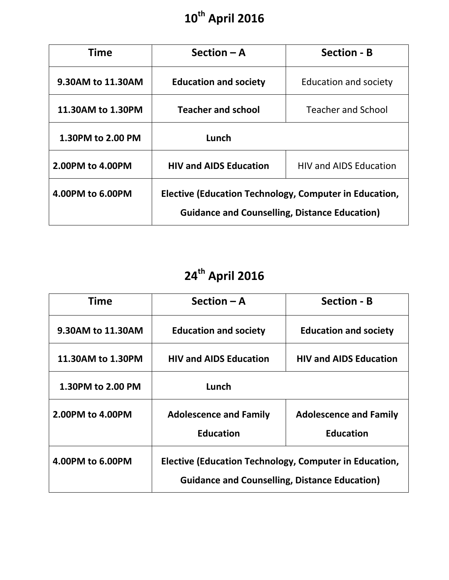#### **10 th April 2016**

| <b>Time</b>       | $Section - A$                                                                                                  | <b>Section - B</b>            |
|-------------------|----------------------------------------------------------------------------------------------------------------|-------------------------------|
| 9.30AM to 11.30AM | <b>Education and society</b>                                                                                   | <b>Education and society</b>  |
| 11.30AM to 1.30PM | <b>Teacher and school</b>                                                                                      | <b>Teacher and School</b>     |
| 1.30PM to 2.00 PM | Lunch                                                                                                          |                               |
| 2.00PM to 4.00PM  | <b>HIV and AIDS Education</b>                                                                                  | <b>HIV and AIDS Education</b> |
| 4.00PM to 6.00PM  | Elective (Education Technology, Computer in Education,<br><b>Guidance and Counselling, Distance Education)</b> |                               |

# **24th April 2016**

| <b>Time</b>       | Section $-$ A                                                                                                  | <b>Section - B</b>                                |
|-------------------|----------------------------------------------------------------------------------------------------------------|---------------------------------------------------|
| 9.30AM to 11.30AM | <b>Education and society</b>                                                                                   | <b>Education and society</b>                      |
| 11.30AM to 1.30PM | <b>HIV and AIDS Education</b>                                                                                  | <b>HIV and AIDS Education</b>                     |
| 1.30PM to 2.00 PM | Lunch                                                                                                          |                                                   |
| 2.00PM to 4.00PM  | <b>Adolescence and Family</b><br><b>Education</b>                                                              | <b>Adolescence and Family</b><br><b>Education</b> |
| 4.00PM to 6.00PM  | Elective (Education Technology, Computer in Education,<br><b>Guidance and Counselling, Distance Education)</b> |                                                   |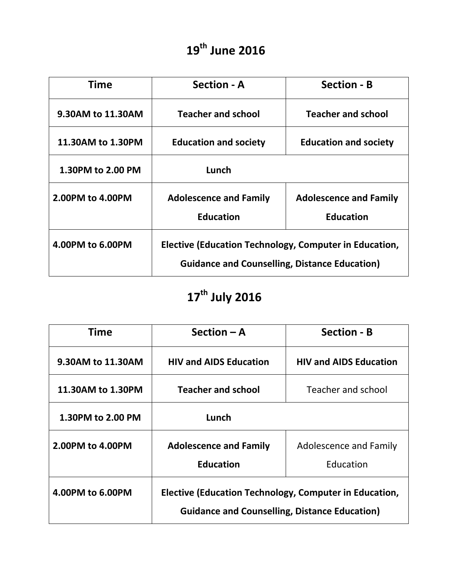#### **19th June 2016**

| Time              | <b>Section - A</b>                                                                                             | <b>Section - B</b>                                |
|-------------------|----------------------------------------------------------------------------------------------------------------|---------------------------------------------------|
| 9.30AM to 11.30AM | <b>Teacher and school</b>                                                                                      | <b>Teacher and school</b>                         |
| 11.30AM to 1.30PM | <b>Education and society</b>                                                                                   | <b>Education and society</b>                      |
| 1.30PM to 2.00 PM | Lunch                                                                                                          |                                                   |
| 2.00PM to 4.00PM  | <b>Adolescence and Family</b><br><b>Education</b>                                                              | <b>Adolescence and Family</b><br><b>Education</b> |
| 4.00PM to 6.00PM  | Elective (Education Technology, Computer in Education,<br><b>Guidance and Counselling, Distance Education)</b> |                                                   |

# **17th July 2016**

| <b>Time</b>       | Section $-$ A                                                                                                  | <b>Section - B</b>            |
|-------------------|----------------------------------------------------------------------------------------------------------------|-------------------------------|
| 9.30AM to 11.30AM | <b>HIV and AIDS Education</b>                                                                                  | <b>HIV and AIDS Education</b> |
| 11.30AM to 1.30PM | <b>Teacher and school</b>                                                                                      | Teacher and school            |
| 1.30PM to 2.00 PM | Lunch                                                                                                          |                               |
| 2.00PM to 4.00PM  | <b>Adolescence and Family</b>                                                                                  | Adolescence and Family        |
|                   | <b>Education</b>                                                                                               | Education                     |
| 4.00PM to 6.00PM  | Elective (Education Technology, Computer in Education,<br><b>Guidance and Counselling, Distance Education)</b> |                               |